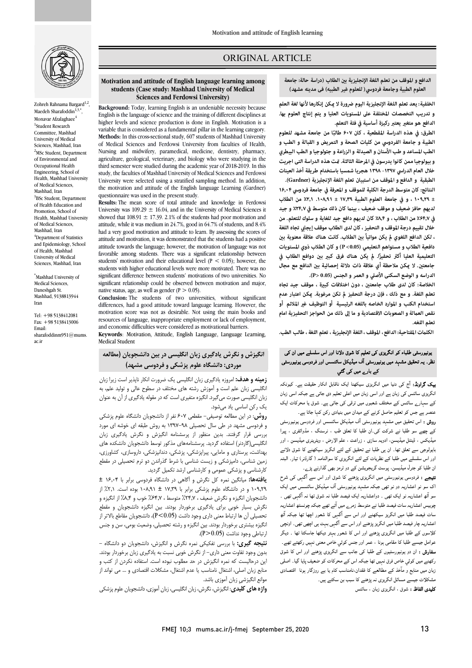

Zohreh Rahnama Bargard<sup>1,2</sup> Maedeh Sharafoddin $1,3,4$ Monavar Afzalaghaee<sup>4</sup> 1 Student Research Committee, Mashhad University of Medical Sciences, Mashhad, Iran <sup>2</sup>MSc Student, Department of Environmental and Occupational Health Engineering, School of Health, Mashhad University of Medical Sciences, Mashhad, Iran <sup>3</sup>BSc Student, Department of Health Education and Promotion, School of Health, Mashhad University of Medical Sciences, Mashhad, Iran <sup>4</sup>Department of Statistics and Epidemiology, School of Health, Mashhad University of Medical Sciences, Mashhad, Iran

\* Mashhad University of Medical Sciences, Daneshgah St. Mashhad, 9138813944 Iran

Tel: +98 5138412081 Fax: +98 5138413006 Email: sharafoddinm951@mums. ac.ir

### ORIGINAL ARTICLE

ì **العلومالطبية وجامعة فردوسي( للعلومغیر الطبیه) فی مدینه مشهد) الدافع والموقف من تعلم اللغة الإنجليزية ب الطلاب (دراسة حالة: جامعة**

ص

 **الخلفية: يعد تعلم اللغة الإنجليزية اليوم ضرورة لا كن إنكارها لأنها لغة العلم (University Ferdowsi and Sciences الدافع هو متغ يعتبر ركيزة أساسية في فئة التعلم. و تدريب التخصصات المختلفة على المستويات العليا و يتم إنتاج العلوم بها.** 

الطرق: في هذه الدراسة المقطعية ، كان ۶۰۷ طالبًا من جامعة مشهد للعلوم **الطبية و جامعة الفردوسي من كليات الصحة و التمريض و القبالة و الطب و الطب المساعد و طب الأسنان و الصيدلة و الزراعة و جئولوجيا و الطب البيطري**  و بيولوجيا ممن كانوا يدرسون في المرحلة الثالثة. <del>ت</del>مت هذه الدراسة التی اجريت<br>-س مستبقية و الدافع و الموقف من استبيان تعلم اللغة الإنجليزية (Gardner).<br>الطبقية و الدافع و الموقف من استبيان تعلم اللغة الإنجليزية (Gardner). **خلال العام الدراسي ۱۳۹۸-۱۳۹۷ هجریا شمسیا باستخدام طريقة أخذ العينات** 

 **النتائج: كان متوسط الدرجة الكلية للموقف و المعرفة في جامعة فردوسي ۱۶٫۰۴ ± ۱۰۹٫۲۹ ، و في جامعة العلوم الطبية ۱۷٫۳۹ ± .۱۰۸٫۹۱ ٪۲٫۱ من الطلاب لديهم حافز ضعيف و موقف ضعيف ، بين كان ذلك متوسط في ٪۲۴٫۷ و جيد في ٪۶۴٫۷ من الطلاب ، و ٪۸٫۴ كان لديهم دافع جيد للغاية و سلوك للتعلم. من ، لكن الدافع اللغوي يكن مواتياً ب الطلاب. كانت هناك علاقة معنوية ب دافعية الطلاب و مستواهم التعليمي (0.05> P (و كان الطلاب ذوي المستويات**  التعليمية العليا أكثر تحفيزاً. لم يكن هناك فرق كب<u>ير</u> بين دوافع الطلاب في جامعتين. لا <sub>ت</sub>كن ملاحظة أي علاقة ذات دلالة إحصائية بين الدافع مع مجال الدراسه و الوضع السكنى الأصلي و العمر و الجنس (0.05 <P<mark>).</mark><br>ا **خلال تقييم درجة الموقف و التحفيز ، كان لدى الطلاب موقف إيجا تجاه اللغة** 

 **تعلم اللغة. و مع ذلك ، فإن درجة التحفيز تكن مرغوبة. كن اعتبار عدم**  استخدام الكتب و الموارد الخاصه باللغه الرئيسية أو التوظيف غير الملائم أو **نقص العلة و الصعوبات الاقتصادية و ما إلى ذلك من الحواجز التحفيزية امام الخلاصة: كان لدى طلاب جامعت ، دون اختلافات كبة ، موقف جيد تجاه تعلم اللغه.** 

**الكلت المفتاحية: الدافع ، الموقف ، اللغةالإنجليزية ، تعلم اللغة ، طالب الطب.**

# ۔<br>برنیورسٹی طلباء کو انگریزی کی تعلیم کا شوق دلانا اور اس سلسلے میں ان کی ۔<br>نظر۔ یہ تحقیق مشہد میں یونیورسٹی آف میڈیکل سائنسس اور فردوسی یونیورسٹی کے بارے میں کی گئی

**یک گراونڈ:** آج کی دنیا میں انگریزی سیکھنا ایک ناقابل انکار حقیقت ہے۔ کیونکہ نگریزی سائنس کی زبان ہے اور اسی زبان میں اعلی تعلیم دی جاتی ہے جبکہ اسی زبان کے سہارے سائنس کے مختلف شعبوں میں ترقی کی جاتی ہے۔ شوق یا محرکات ایک عنصر ہے جس کو تعلیم حاصل کرنے کے میدان میں بنیادی رکن کہا جاتا ہے۔

مستر ہے جس تو تعیم حص ترتے ہے میدن میں پتیاری ریں تنہا ہے۔<br>**روش :** اس تحقیق میں مشہد یونیورسٹی آف میڈیکل سائنسس اور فردوسی یونیورسٹی ۔<br>کے چھے سو طلباً نے شرکت کی۔ان طلبا کا تعلق طب ، نرسنگ ، مڈوائفری ، پیرا میڈیکس ، ڈینٹل میڈیسن، ادویہ سازی ، زراعت ، علم الارض ، ویٹرینری میڈیسن ، اور بایولوجی سے تعلق تھا۔ ان ہی طلبا نے تحقیق کے لئے انگریز سیکھنے کا شوق دلانے ور اس سسسے میں صب نے تصریات نے سے انحریزی تا سواسامہ / کاردور؟<br>ان طلبا کو جنرل میڈیسن، پوسٹ گریجویشن کے دو ٹرمز بھی گذارنے پڑے۔ اور اس سلسلے میں طلبا کے نظریات کے لئے انگریزی کا سوالنامہ ( گارڈنر ) تیار۔ البتہ

ں مسلم کی دو رہی ہے ۔ س سی سے سے سے سے دور وہ سے مسلم کے ہیں تھے ۔<br>**تنبیجے :** فردوسی یونیورسٹی میں انگریزی پڑھنے کا شوق اور اس سے آگہی کی شرح اک سو نو اعشاریہ دو نو تھی جبکہ مشہد یونیورسٹی آف میڈیکل سائنسس میں ایک سو آٹھ اعشاریہ نو ایک تھی ۔ دواعشاریہ ایک فیصد طلبا نہ شوق تھا نہ آگہی تھی ۔ چوبیس اعشاریہ سات فیصد طلبا نے متوسط زمر<sub>ے</sub> میں آتے تھے جبکہ چونسٹھ اعشاریہ<br>۔ ست کے سیستہ کتبہ میں مستعرض سیاست کے معاملے کے سامن کے سامنے کی مستعرض کے مقدم کر ہے۔<br>اعشاریہ چار فیصد طلبا میں انگریز پڑھنے اور اس سے آگہی بہت ہی اچھی تھی۔ اونچی ۔<br>کلاسوں کے طلبا میں انگریزی پڑھنے اور اس کا شعور بہتر دیکھا جاسکتا تھا ۔ دیگر عوامل جیسے طلبا کا مقامی ہونا ، عمر اور جنس کوئي خاص معنی نہیں رکھتے تھے۔ **سفارش :** ان دو یونیورسٹیوں کے طلبا کی جانب سے انگریزی پڑھنے اور اس کا شوق زنھتے میں عومی حاص عری مہیں ہے جبکہ اس سے سعرت عو علمیت پید سے اسلحی<br>زبان میں منابع و مآخذ کے مطالعے کا فقدان،نامناسب کام یا بے روزگار ہونا اقتصادی ۔<br>مشکلات جیسے مسائل انگریزی نہ پڑھنے کا سبب بن سکتے ہیں۔ <mark>کلیدی الفاظ :</mark> شوق ، انگریزی زبان ، سائنس سات فیصد طلبا میں انگریز سیکھنے اور اس سے آگہی کا شعور اچھا تھا جبکہ آٹھ رکھنے میں کوئی خاص فرق نہیں تھا جبکہ اس کے محرکات کو ضعیف پایا گیا۔ اصلی

#### **Motivation and attitude of English language learning among**  Sciences and Ferdowsi University) **students (Case study: Mashhad University of Medical**

Ī

 **Background:** Today, learning English is an undeniable necessity because higher levels and science production is done in English. Motivation is a variable that is considered as a fundamental pillar in the learning category. of Medical Sciences and Ferdowsi University from faculties of Health, Nursing and midwifery, paramedical, medicine, dentistry, pharmacy, third semester were studied during the academic year of 2018-2019. In this study, the faculties of Mashhad University of Medical Sciences and Ferdowsi the motivation and attitude of the English language Learning (Gardner) English is the language of science and the training of different disciplines at **Methods:** In this cross-sectional study, 607 students of Mashhad University agriculture, geological, veterinary, and biology who were studying in the University were selected using a stratified sampling method. In addition, questionnaire was used in the present study.

 **Results:** The mean score of total attitude and knowledge in Ferdowsi University was 109.29  $\pm$  16.04, and in the University of Medical Sciences it attitude, while it was medium in  $24.7%$ , good in  $64.7%$  of students, and  $8.4%$  had a very good motivation and attitude to learn. By assessing the scores of attitude towards the language; however, the motivation of language was not favorable among students. There was a significant relationship between students with higher educational levels were more motivated. There was no significant unterence between students inouvations of two universities. No<br>significant relationship could be observed between motivation and major, showed that 108.91  $\pm$  17.39. 2.1% of the students had poor motivation and attitude and motivation, it was demonstrated that the students had a positive students' motivation and their educational level  $(P < 0.05)$ ; however, the significant difference between students' motivations of two universities. No native status, age, as well as gender ( $P > 0.05$ ).

differences, had a good attitude toward language learning. However, the motivation score was not as desirable. Not using the main books and and economic difficulties were considered as motivational barriers. **Conclusion:** The students of two universities, without significant resources of language, inappropriate employment or lack of employment,

 **Keywords**: Motivation, Attitude, English Language, Language Learning, Medical Student

# **انگیزش و نگرش یادگیري زبان انگلیسی در بین دانشجویان (مطالعه موردي: دانشگاه علوم پزشکی و فردوسی مشهد)**

 **زمینه و هدف:** امروزه یادگیري زبان انگلیسی یک ضرورت انکار ناپذیر است زیرا زبان زبان انگلیسی صورت میگیرد. انگیزه متغیري است که در مقوله یادگیري از آن به عنوان یک رکن اساسی یاد میشود. انگلیسی زبان علم است و آموزش رشته هاي مختلف در سطوح عالی و تولید علم، به

 **روش**: در این مطالعه توصیفی- مقطعی 607 نفر از دانشجویان دانشگاه علوم پزشکی و فردوسی مشهد در طی سال تحصیلی 1397-98 به روش طبقه اي خوشه اي مورد بررد ی کررگر را استفاده گردید. پرسشنامههای مذکور توسط دانشجویان دانشکده های<br>نگلیسی(گاردنر) استفاده گردید. پرسشنامههای مذکور توسط دانشجویان دانشکده های بهداشت، پرستاري و مامایی، پیراپزشکی، پزشکی، دندانپزشکی، داروسازي، کشاورزي، زمین شناسی، دامپزشکی و زیست شناسی با شرط گذراندن دو ترم تحصیلی در مقطع کارشناسی و پزشکی عمومی و کارشناسی ارشد تکمیل گردید. بررسی قرار گرفتند. بدین منظور از پرسشنامه انگیزش و نگرش یادگیري زبان

..<br>۱۰۹٫۲۹ و در دانشگاه علوم پزشکی برابر با ۱۷٫۳۹ ± ۱۰۸٫۹۱ بوده است. ۲٫۱٪ از دانشجویان انگیزه و نگرش ضعیف ، %24,7 متوسط ، %64,7 خوب و %8,4 از انگیزه و نگرش بسیار خوبی براي یادگیري برخوردار بودند. بین انگیزه دانشجویان و مقطع تحصیلی آن ها ارتباط معنی داري وجود داشت (0.05>P(، دانشجویان مقاطع بالاتر از یر ...<br>رتباطی وجود نداشت (P>0.05). **یافتهها:** میانگین نمره کل نگرش و آگاهی در دانشگاه فردوسی برابر با 16,04 ± انگیزه بیشتري برخوردار بودند. بین انگیزه و رشته تحصیلی، وضعیت بومی، سن و جنس

 **نتیجه گیري:** با بررسی تفکیکی نمره نگرش و انگیزش، دانشجویان دو دانشگاه - بدون وجود تفاوت معنی داري- از نگرش خوبی نسبت به یادگیري زبان برخوردار بودند. این درحالیست که نمره انگیزش در حد مطلوب نبوده است. استفاده نکردن از کتب و موانع انگیزشیِ زبان آموزي باشد. منابع زبان اصلی، اشتغال نامناسب یا عدم اشتغال، مشکلات اقتصادي و ... می تواند از

**واژه هاي کلیدي**: انگیزش، نگرش، زبان انگلیسی، زبان آموزي، دانشجویان علوم پزشکی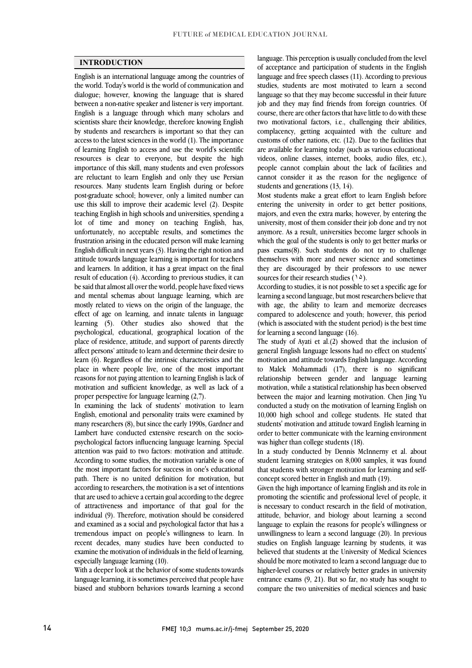#### **INTRODUCTION**

 English is an international language among the countries of the world. Today's world is the world of communication and dialogue; however, knowing the language that is shared between a non-native speaker and listener is very important. scientists share their knowledge, therefore knowing English by students and researchers is important so that they can access to the latest sciences in the world (1). The importance of learning English to access and use the world's scientific importance of this skill, many students and even professors are reluctant to learn English and only they use Persian resources. Many students learn English during or before post-graduate school; however, only a limited number can teaching English in high schools and universities, spending a lot of time and money on teaching English, has, unfortunately, no acceptable results, and sometimes the frustration arising in the educated person will make learning attitude towards language learning is important for teachers and learners. In addition, it has a great impact on the final result of education (4). According to previous studies, it can be said that almost all over the world, people have fixed views mostly related to views on the origin of the language, the effect of age on learning, and innate talents in language learning (5). Other studies also showed that the psychological, educational, geographical location of the affect persons' attitude to learn and determine their desire to learn (6). Regardless of the intrinsic characteristics and the place in where people live, one of the most important motivation and sufficient knowledge, as well as lack of a English is a language through which many scholars and resources is clear to everyone, but despite the high use this skill to improve their academic level (2). Despite English difficult in next years (3). Having the right notion and and mental schemas about language learning, which are place of residence, attitude, and support of parents directly reasons for not paying attention to learning English is lack of proper perspective for language learning (2,7).

 In examining the lack of students' motivation to learn English, emotional and personality traits were examined by many researchers (8), but since the early 1990s, Gardner and psychological factors influencing language learning. Special attention was paid to two factors: motivation and attitude. According to some studies, the motivation variable is one of path. There is no united definition for motivation, but according to researchers, the motivation is a set of intentions that are used to achieve a certain goal according to the degree of attractiveness and importance of that goal for the individual (9). Therefore, motivation should be considered tremendous impact on people's willingness to learn. In recent decades, many studies have been conducted to examine the motivation of individuals in the field of learning, Lambert have conducted extensive research on the sociothe most important factors for success in one's educational and examined as a social and psychological factor that has a especially language learning (10).

 With a deeper look at the behavior of some students towards language learning, it is sometimes perceived that people have biased and stubborn behaviors towards learning a second

anguage. This perception is usually concluded from the lever<br>of acceptance and participation of students in the English language and free speech classes (11). According to previous studies, students are most motivated to learn a second language so that they may become successful in their future course, there are other factors that have little to do with these complacency, getting acquainted with the culture and customs of other nations, etc. (12). Due to the facilities that are available for learning today (such as various educational videos, online classes, internet, books, audio files, etc.), cannot consider it as the reason for the negligence of language. This perception is usually concluded from the level job and they may find friends from foreign countries. Of two motivational factors, i.e., challenging their abilities, people cannot complain about the lack of facilities and students and generations (13, 14).

 Most students make a great effort to learn English before entering the university in order to get better positions, university, most of them consider their job done and try not anymore. As a result, universities become larger schools in which the goal of the students is only to get better marks or pass exams(8). Such students do not try to challenge they are discouraged by their professors to use newer majors, and even the extra marks; however, by entering the themselves with more and newer science and sometimes sources for their research studies  $(1\Delta)$ .

 According to studies, it is not possible to set a specific age for with age, the ability to learn and memorize decreases compared to adolescence and youth; however, this period (which is associated with the student period) is the best time learning a second language, but most researchers believe that for learning a second language (16).

The study of Ayati et al. $(2)$  showed that the inclusion of motivation and attitude towards English language. According to Malek Mohammadi (17), there is no significant relationship between gender and language learning between the major and learning motivation. Chen Jing Yu conducted a study on the motivation of learning English on 10,000 high school and college students. He stated that students' motivation and attitude toward English learning in order to better communicate with the learning environment general English language lessons had no effect on students' motivation, while a statistical relationship has been observed was higher than college students (18).

 In a study conducted by Dennis McInnerny et al. about student learning strategies on 8,000 samples, it was found that students with stronger motivation for learning and selfconcept scored better in English and math (19).

Given the high importance of learning English and its role in promoting the scientific and professional level of people, it is necessary to conduct research in the field of motivation, attitude, behavior, and biology about learning a second unwillingness to learn a second language (20). In previous studies on English language learning by students, it was believed that students at the University of Medical Sciences should be more motivated to learn a second language due to entrance exams (9, 21). But so far, no study has sought to compare the two universities of medical sciences and basic language to explain the reasons for people's willingness or higher-level courses or relatively better grades in university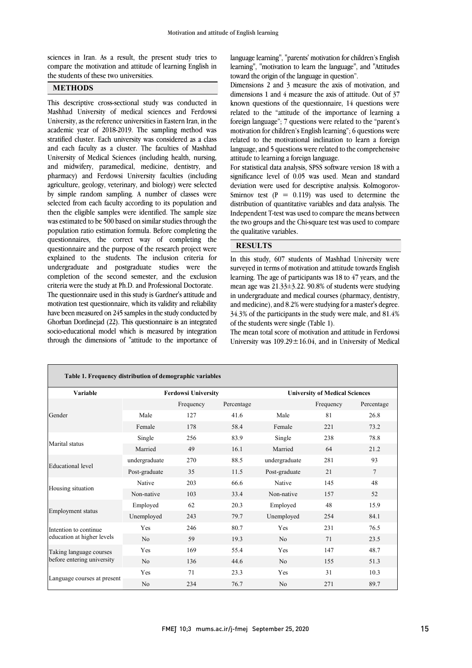ֺ֝֡

compare the motivation and attitude of learning English in sciences in Iran. As a result, the present study tries to the students of these two universities.

## **METHODS**

֖֚֚֚֬ Mashhad University of medical sciences and Ferdowsi University, as the reference universities in Eastern Iran, in the academic year of 2018-2019. The sampling method was stratified cluster. Each university was considered as a class University of Medical Sciences (including health, nursing, and midwifery, paramedical, medicine, dentistry, and pharmacy) and Ferdowsi University faculties (including agriculture, geology, veterinary, and biology) were selected selected from each faculty according to its population and then the eligible samples were identified. The sample size was estimated to be 500 based on similar studies through the population ratio estimation formula. Before completing the questionnaire and the purpose of the research project were explained to the students. The inclusion criteria for undergraduate and postgraduate studies were the completion of the second semester, and the exclusion The questionnaire used in this study is Gardner's attitude and motivation test questionnaire, which its validity and reliability have been measured on 245 samples in the study conducted by Ghorban Dordinejad (22). This questionnaire is an integrated through the dimensions of "attitude to the importance of This descriptive cross-sectional study was conducted in and each faculty as a cluster. The faculties of Mashhad by simple random sampling. A number of classes were questionnaires, the correct way of completing the criteria were the study at Ph.D. and Professional Doctorate. socio-educational model which is measured by integration

 learning", "motivation to learn the language", and "Attitudes language learning", "parents' motivation for children's English toward the origin of the language in question".

 Dimensions 2 and 3 measure the axis of motivation, and dimensions 1 and 4 measure the axis of attitude. Out of 37 related to the "attitude of the importance of learning a foreign language"; 7 questions were related to the "parent's motivation for children's English learning"; 6 questions were related to the motivational inclination to learn a foreign language, and 5 questions were related to the comprehensive known questions of the questionnaire, 14 questions were attitude to learning a foreign language.

For statistical data analysis, SPSS software version 18 with a significance level of 0.05 was used. Mean and standard deviation were used for descriptive analysis. Kolmogorov- $\frac{d}{dx}$  distribution of quantitative variables and data analysis. The Independent T-test was used to compare the means between the two groups and the Chi-square test was used to compare Smirnov test  $(P = 0.119)$  was used to determine the the qualitative variables.

### **RESULTS**

 In this study, 607 students of Mashhad University were surveyed in terms of motivation and attitude towards English learning. The age of participants was 18 to 47 years, and the mean age was 21.33±3.22. 90.8% of students were studying and medicine), and 8.2% were studying for a master's degree. 34.3% of the participants in the study were male, and 81.4% in undergraduate and medical courses (pharmacy, dentistry, of the students were single (Table 1).

University was  $109.29 \pm 16.04$ , and in University of Medical The mean total score of motivation and attitude in Ferdowsi

| Table 1. Frequency distribution of demographic variables |               |           |            |                                       |           |            |  |  |  |
|----------------------------------------------------------|---------------|-----------|------------|---------------------------------------|-----------|------------|--|--|--|
| Variable<br><b>Ferdowsi University</b>                   |               |           |            | <b>University of Medical Sciences</b> |           |            |  |  |  |
|                                                          |               | Frequency | Percentage |                                       | Frequency | Percentage |  |  |  |
| Gender                                                   | Male          | 127       | 41.6       | Male                                  | 81        | 26.8       |  |  |  |
|                                                          | Female        | 178       | 58.4       | Female                                | 221       | 73.2       |  |  |  |
| Marital status                                           | Single        | 256       | 83.9       | Single                                | 238       | 78.8       |  |  |  |
|                                                          | Married       | 49        | 16.1       | Married                               | 64        | 21.2       |  |  |  |
| <b>Educational</b> level                                 | undergraduate | 270       | 88.5       | undergraduate                         | 281       | 93         |  |  |  |
|                                                          | Post-graduate | 35        | 11.5       | Post-graduate                         | 21        | $\tau$     |  |  |  |
|                                                          | Native        | 203       | 66.6       | Native                                | 145       | 48         |  |  |  |
| Housing situation                                        | Non-native    | 103       | 33.4       | Non-native                            | 157       | 52         |  |  |  |
|                                                          | Employed      | 62        | 20.3       | Employed                              | 48        | 15.9       |  |  |  |
| <b>Employment</b> status                                 | Unemployed    | 243       | 79.7       | Unemployed                            | 254       | 84.1       |  |  |  |
| Intention to continue                                    | Yes           | 246       | 80.7       | Yes                                   | 231       | 76.5       |  |  |  |
| education at higher levels                               | No            | 59        | 19.3       | N <sub>o</sub>                        | 71        | 23.5       |  |  |  |
| Taking language courses<br>before entering university    | Yes           | 169       | 55.4       | Yes                                   | 147       | 48.7       |  |  |  |
|                                                          | No            | 136       | 44.6       | No                                    | 155       | 51.3       |  |  |  |
|                                                          | Yes           | 71        | 23.3       | Yes                                   | 31        | 10.3       |  |  |  |
| Language courses at present                              | No            | 234       | 76.7       | N <sub>o</sub>                        | 271       | 89.7       |  |  |  |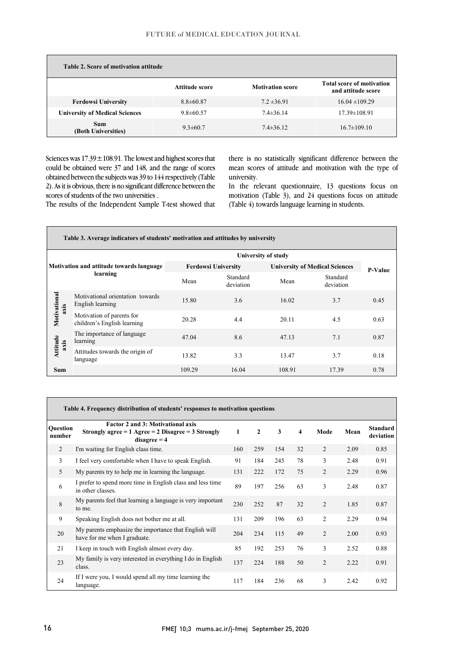| Table 2. Score of motivation attitude |                 |                         |                                                        |
|---------------------------------------|-----------------|-------------------------|--------------------------------------------------------|
|                                       | Attitude score  | <b>Motivation score</b> | <b>Total score of motivation</b><br>and attitude score |
| <b>Ferdowsi University</b>            | $8.8 \pm 60.87$ | $7.2 \pm 36.91$         | $16.04 \pm 109.29$                                     |
| <b>University of Medical Sciences</b> | $9.8 \pm 60.57$ | $7.4 \pm 36.14$         | $17.39 \pm 108.91$                                     |
| <b>Sum</b><br>(Both Universities)     | $9.3 \pm 60.7$  | $7.4 \pm 36.12$         | $16.7 \pm 109.10$                                      |

Sciences was  $17.39 \pm 108.91$ . The lowest and highest scores that could be obtained were 37 and 148, and the range of scores obtained between the subjects was 39 to 144 respectively (Table 2). As it is obvious, there is no significant difference between the scores of students of the two universities .

 there is no statistically significant difference between the mean scores of attitude and motivation with the type of university.

 In the relevant questionnaire, 13 questions focus on l (Table 4) towards language learning in students. motivation (Table 3), and 24 questions focus on attitude

The results of the Independent Sample T-test showed that

| Table 3. Average indicators of students' motivation and attitudes by university |                                                          |                            |                       |                                       |                       |      |  |  |  |
|---------------------------------------------------------------------------------|----------------------------------------------------------|----------------------------|-----------------------|---------------------------------------|-----------------------|------|--|--|--|
|                                                                                 | <b>University of study</b>                               |                            |                       |                                       |                       |      |  |  |  |
| Motivation and attitude towards language<br>learning                            |                                                          | <b>Ferdowsi University</b> |                       | <b>University of Medical Sciences</b> | <b>P-Value</b>        |      |  |  |  |
|                                                                                 |                                                          | Mean                       | Standard<br>deviation | Mean                                  | Standard<br>deviation |      |  |  |  |
| Motivational<br>axis                                                            | Motivational orientation towards<br>English learning     | 15.80                      | 3.6                   | 16.02                                 | 3.7                   | 0.45 |  |  |  |
|                                                                                 | Motivation of parents for<br>children's English learning | 20.28                      | 4.4                   | 20.11                                 | 4.5                   | 0.63 |  |  |  |
| Attitude<br>axis                                                                | The importance of language<br>learning                   | 47.04                      | 8.6                   | 47.13                                 | 7.1                   | 0.87 |  |  |  |
|                                                                                 | Attitudes towards the origin of<br>language              | 13.82                      | 3.3                   | 13.47                                 | 3.7                   | 0.18 |  |  |  |
| Sum                                                                             |                                                          | 109.29                     | 16.04                 | 108.91                                | 17.39                 | 0.78 |  |  |  |

l

| Table 4. Frequency distribution of students' responses to motivation questions |                                                                                                                        |     |              |     |    |                |      |                              |  |
|--------------------------------------------------------------------------------|------------------------------------------------------------------------------------------------------------------------|-----|--------------|-----|----|----------------|------|------------------------------|--|
| Question<br>number                                                             | <b>Factor 2 and 3: Motivational axis</b><br>Strongly agree = $1$ Agree = $2$ Disagree = $3$ Strongly<br>$disagree = 4$ | 1   | $\mathbf{2}$ | 3   | 4  | Mode           | Mean | <b>Standard</b><br>deviation |  |
| $\overline{2}$                                                                 | I'm waiting for English class time.                                                                                    | 160 | 259          | 154 | 32 | $\overline{2}$ | 2.09 | 0.85                         |  |
| 3                                                                              | I feel very comfortable when I have to speak English.                                                                  | 91  | 184          | 245 | 78 | 3              | 2.48 | 0.91                         |  |
| $\mathfrak{H}$                                                                 | My parents try to help me in learning the language.                                                                    | 131 | 222          | 172 | 75 | $\overline{2}$ | 2.29 | 0.96                         |  |
| 6                                                                              | I prefer to spend more time in English class and less time<br>in other classes.                                        | 89  | 197          | 256 | 63 | 3              | 2.48 | 0.87                         |  |
| 8                                                                              | My parents feel that learning a language is very important<br>to me.                                                   | 230 | 252          | 87  | 32 | $\overline{2}$ | 1.85 | 0.87                         |  |
| 9                                                                              | Speaking English does not bother me at all.                                                                            | 131 | 209          | 196 | 63 | $\overline{2}$ | 2.29 | 0.94                         |  |
| 20                                                                             | My parents emphasize the importance that English will<br>have for me when I graduate.                                  | 204 | 234          | 115 | 49 | $\overline{2}$ | 2.00 | 0.93                         |  |
| 21                                                                             | I keep in touch with English almost every day.                                                                         | 85  | 192          | 253 | 76 | 3              | 2.52 | 0.88                         |  |
| 23                                                                             | My family is very interested in everything I do in English<br>class.                                                   | 137 | 224          | 188 | 50 | $\overline{2}$ | 2.22 | 0.91                         |  |
| 24                                                                             | If I were you, I would spend all my time learning the<br>language.                                                     | 117 | 184          | 236 | 68 | 3              | 2.42 | 0.92                         |  |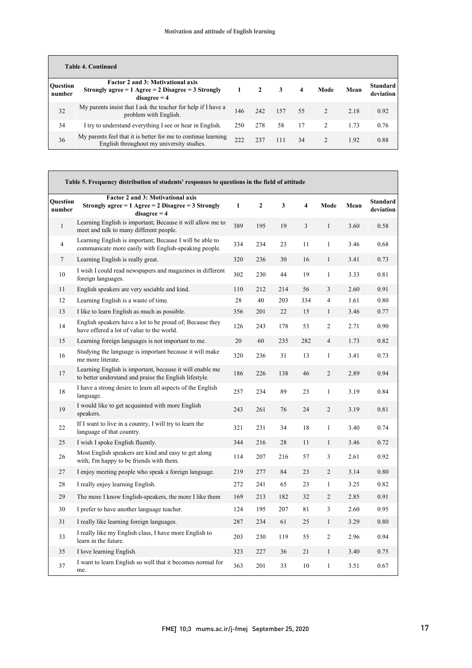| <b>Table 4. Continued</b> |                                                                                                                        |     |     |     |    |                |      |                              |  |
|---------------------------|------------------------------------------------------------------------------------------------------------------------|-----|-----|-----|----|----------------|------|------------------------------|--|
| <b>Ouestion</b><br>number | <b>Factor 2 and 3: Motivational axis</b><br>Strongly agree = $1$ Agree = $2$ Disagree = $3$ Strongly<br>$disagree = 4$ |     | 2   | 3   | 4  | Mode           | Mean | <b>Standard</b><br>deviation |  |
| 32                        | My parents insist that I ask the teacher for help if I have a<br>problem with English.                                 | 146 | 242 | 157 | 55 | $\mathfrak{D}$ | 2.18 | 0.92                         |  |
| 34                        | I try to understand everything I see or hear in English.                                                               | 250 | 278 | 58  | 17 | $\mathcal{L}$  | 1.73 | 0.76                         |  |
| 36                        | My parents feel that it is better for me to continue learning<br>English throughout my university studies.             | 222 | 237 | 111 | 34 | $\mathcal{L}$  | 1.92 | 0.88                         |  |

|                           | Table 5. Frequency distribution of students' responses to questions in the field of attitude                       |              |              |     |     |                |      |                              |
|---------------------------|--------------------------------------------------------------------------------------------------------------------|--------------|--------------|-----|-----|----------------|------|------------------------------|
| <b>Ouestion</b><br>number | Factor 2 and 3: Motivational axis<br>Strongly agree = $1$ Agree = $2$ Disagree = $3$ Strongly<br>$disagree = 4$    | $\mathbf{1}$ | $\mathbf{2}$ | 3   | 4   | Mode           | Mean | <b>Standard</b><br>deviation |
| $\mathbf{1}$              | Learning English is important; Because it will allow me to<br>meet and talk to many different people.              | 389          | 195          | 19  | 3   | $\mathbf{1}$   | 3.60 | 0.58                         |
| 4                         | Learning English is important; Because I will be able to<br>communicate more easily with English-speaking people.  | 334          | 234          | 23  | 11  | $\mathbf{1}$   | 3.46 | 0.68                         |
| 7                         | Learning English is really great.                                                                                  | 320          | 236          | 30  | 16  | $\mathbf{1}$   | 3.41 | 0.73                         |
| 10                        | I wish I could read newspapers and magazines in different<br>foreign languages.                                    | 302          | 230          | 44  | 19  | $\mathbf{1}$   | 3.33 | 0.81                         |
| 11                        | English speakers are very sociable and kind.                                                                       | 110          | 212          | 214 | 56  | 3              | 2.60 | 0.91                         |
| 12                        | Learning English is a waste of time.                                                                               | 28           | 40           | 203 | 334 | $\overline{4}$ | 1.61 | 0.80                         |
| 13                        | I like to learn English as much as possible.                                                                       | 356          | 201          | 22  | 15  | $\mathbf{1}$   | 3.46 | 0.77                         |
| 14                        | English speakers have a lot to be proud of; Because they<br>have offered a lot of value to the world.              | 126          | 243          | 178 | 53  | $\overline{c}$ | 2.71 | 0.90                         |
| 15                        | Learning foreign languages is not important to me.                                                                 | 20           | 60           | 235 | 282 | $\overline{4}$ | 1.73 | 0.82                         |
| 16                        | Studying the language is important because it will make<br>me more literate.                                       | 320          | 236          | 31  | 13  | $\mathbf{1}$   | 3.41 | 0.73                         |
| 17                        | Learning English is important, because it will enable me<br>to better understand and praise the English lifestyle. | 186          | 226          | 138 | 46  | $\overline{2}$ | 2.89 | 0.94                         |
| $18\,$                    | I have a strong desire to learn all aspects of the English<br>language.                                            | 257          | 234          | 89  | 23  | $\mathbf{1}$   | 3.19 | 0.84                         |
| 19                        | I would like to get acquainted with more English<br>speakers.                                                      | 243          | 261          | 76  | 24  | $\overline{2}$ | 3.19 | 0.81                         |
| 22                        | If I want to live in a country, I will try to learn the<br>language of that country.                               | 321          | 231          | 34  | 18  | $\mathbf{1}$   | 3.40 | 0.74                         |
| 25                        | I wish I spoke English fluently.                                                                                   | 344          | 216          | 28  | 11  | $\mathbf{1}$   | 3.46 | 0.72                         |
| 26                        | Most English speakers are kind and easy to get along<br>with; I'm happy to be friends with them.                   | 114          | 207          | 216 | 57  | 3              | 2.61 | 0.92                         |
| 27                        | I enjoy meeting people who speak a foreign language.                                                               | 219          | 277          | 84  | 23  | $\overline{2}$ | 3.14 | 0.80                         |
| 28                        | I really enjoy learning English.                                                                                   | 272          | 241          | 65  | 23  | $\mathbf{1}$   | 3.25 | 0.82                         |
| 29                        | The more I know English-speakers, the more I like them                                                             | 169          | 213          | 182 | 32  | $\overline{2}$ | 2.85 | 0.91                         |
| 30                        | I prefer to have another language teacher.                                                                         | 124          | 195          | 207 | 81  | 3              | 2.60 | 0.95                         |
| 31                        | I really like learning foreign languages.                                                                          | 287          | 234          | 61  | 25  | $\mathbf{1}$   | 3.29 | 0.80                         |
| 33                        | I really like my English class, I have more English to<br>learn in the future.                                     | 203          | 230          | 119 | 55  | $\overline{c}$ | 2.96 | 0.94                         |
| 35                        | I love learning English.                                                                                           | 323          | 227          | 36  | 21  | $\mathbf{1}$   | 3.40 | 0.75                         |
| 37                        | I want to learn English so well that it becomes normal for<br>me.                                                  | 363          | 201          | 33  | 10  | $\mathbf{1}$   | 3.51 | 0.67                         |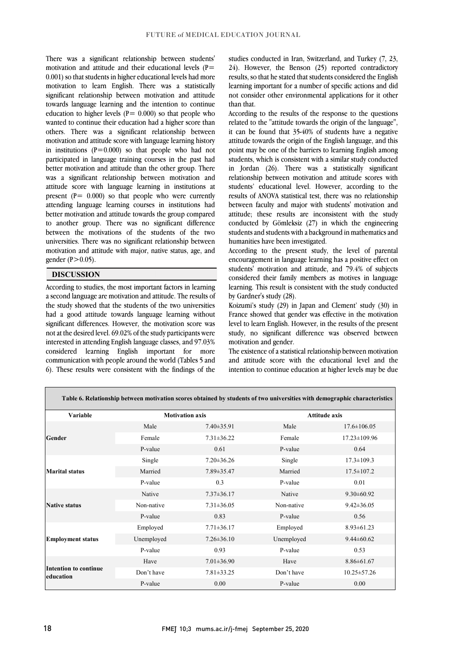There was a significant relationship between students' motivation and attitude and their educational levels  $(P=$ 0.001) so that students in higher educational levels had more motivation to learn English. There was a statistically significant relationship between motivation and attitude towards language learning and the intention to continue education to higher levels ( $P = 0.000$ ) so that people who wanted to continue their education had a higher score than others. There was a significant relationship between motivation and attitude score with language learning history in institutions  $(P=0.000)$  so that people who had not participated in language training courses in the past had better motivation and attitude than the other group. There was a significant relationship between motivation and attitude score with language learning in institutions at present  $(P = 0.000)$  so that people who were currently attending language learning courses in institutions had better motivation and attitude towards the group compared to another group. There was no significant difference between the motivations of the students of the two universities. There was no significant relationship between motivation and attitude with major, native status, age, and gender  $(P>0.05)$ .

### **DISCUSSION**

According to studies, the most important factors in learning a second language are motivation and attitude. The results of the study showed that the students of the two universities had a good attitude towards language learning without significant differences. However, the motivation score was not at the desired level. 69.02% of the study participants were interested in attending English language classes, and 97.03% considered learning English important for more communication with people around the world (Tables 5 and 6). These results were consistent with the findings of the

studies conducted in Iran, Switzerland, and Turkey (7, 23, 24). However, the Benson (25) reported contradictory results, so that he stated that students considered the English learning important for a number of specific actions and did not consider other environmental applications for it other than that.

According to the results of the response to the questions related to the "attitude towards the origin of the language", it can be found that 35-40% of students have a negative attitude towards the origin of the English language, and this point may be one of the barriers to learning English among students, which is consistent with a similar study conducted in Jordan (26). There was a statistically significant relationship between motivation and attitude scores with students' educational level. However, according to the results of ANOVA statistical test, there was no relationship between faculty and major with students' motivation and attitude; these results are inconsistent with the study conducted by Gömleksiz (27) in which the engineering students and students with a background in mathematics and humanities have been investigated.

According to the present study, the level of parental encouragement in language learning has a positive effect on students' motivation and attitude, and 79.4% of subjects considered their family members as motives in language learning. This result is consistent with the study conducted by Gardner's study (28).

Koizumi's study (29) in Japan and Clement' study (30) in France showed that gender was effective in the motivation level to learn English. However, in the results of the present study, no significant difference was observed between motivation and gender.

The existence of a statistical relationship between motivation and attitude score with the educational level and the intention to continue education at higher levels may be due

|                                    |            |                        | Table 6. Relationship between motivation scores obtained by students of two universities with demographic characteristics |                      |  |  |  |
|------------------------------------|------------|------------------------|---------------------------------------------------------------------------------------------------------------------------|----------------------|--|--|--|
| Variable                           |            | <b>Motivation axis</b> |                                                                                                                           | <b>Attitude axis</b> |  |  |  |
|                                    | Male       | $7.40 \pm 35.91$       | Male                                                                                                                      | $17.6 \pm 106.05$    |  |  |  |
| Gender                             | Female     | $7.31 \pm 36.22$       | Female                                                                                                                    | $17.23 \pm 109.96$   |  |  |  |
|                                    | P-value    | 0.61                   | P-value                                                                                                                   | 0.64                 |  |  |  |
|                                    | Single     | $7.20 \pm 36.26$       | Single                                                                                                                    | $17.3 \pm 109.3$     |  |  |  |
| <b>Marital status</b>              | Married    | 7.89±35.47             | Married                                                                                                                   | $17.5 \pm 107.2$     |  |  |  |
|                                    | P-value    | 0.3                    | P-value                                                                                                                   | 0.01                 |  |  |  |
|                                    | Native     | $7.37 \pm 36.17$       | Native                                                                                                                    | $9.30 \pm 60.92$     |  |  |  |
| <b>Native status</b>               | Non-native | $7.31 \pm 36.05$       | Non-native                                                                                                                | $9.42 \pm 36.05$     |  |  |  |
|                                    | P-value    | 0.83                   | P-value                                                                                                                   | 0.56                 |  |  |  |
|                                    | Employed   | $7.71 \pm 36.17$       | Employed                                                                                                                  | $8.93 \pm 61.23$     |  |  |  |
| <b>Employment status</b>           | Unemployed | $7.26 \pm 36.10$       | Unemployed                                                                                                                | $9.44 \pm 60.62$     |  |  |  |
|                                    | P-value    | 0.93                   | P-value                                                                                                                   | 0.53                 |  |  |  |
|                                    | Have       | $7.01 \pm 36.90$       | Have                                                                                                                      | $8.86 \pm 61.67$     |  |  |  |
| Intention to continue<br>education | Don't have | $7.81 \pm 33.25$       | Don't have                                                                                                                | $10.25 \pm 57.26$    |  |  |  |
|                                    | P-value    | 0.00                   | P-value                                                                                                                   | 0.00                 |  |  |  |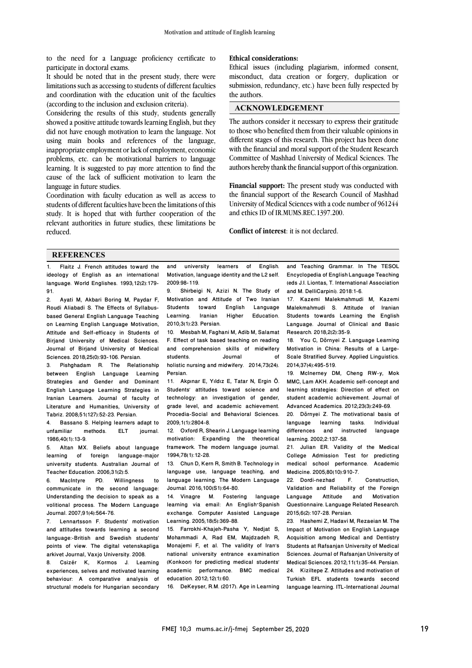to the need for a Language proficiency certificate to participate in doctoral exams.

It should be noted that in the present study, there were limitations such as accessing to students of different faculties and coordination with the education unit of the faculties (according to the inclusion and exclusion criteria).

Considering the results of this study, students generally showed a positive attitude towards learning English, but they did not have enough motivation to learn the language. Not using main books and references of the language, inappropriate employment or lack of employment, economic problems, etc. can be motivational barriers to language learning. It is suggested to pay more attention to find the cause of the lack of sufficient motivation to learn the language in future studies.

Coordination with faculty education as well as access to students of different faculties have been the limitations of this study. It is hoped that with further cooperation of the relevant authorities in future studies, these limitations be reduced.

#### **Ethical considerations:**

Ethical issues (including plagiarism, informed consent, misconduct, data creation or forgery, duplication or submission, redundancy, etc.) have been fully respected by the authors.

#### **ACKNOWLEDGEMENT**

The authors consider it necessary to express their gratitude to those who benefited them from their valuable opinions in different stages of this research. This project has been done with the financial and moral support of the Student Research Committee of Mashhad University of Medical Sciences. The authors hereby thank the financial support of this organization.

**Financial support:** The present study was conducted with the financial support of the Research Council of Mashhad University of Medical Sciences with a code number of 961244 and ethics ID of IR.MUMS.REC.1397.200.

**Conflict of interest**: it is not declared.

#### **REFERENCES**

1. Flaitz J. French attitudes toward the ideology of English as an international language. World Englishes. 1993;12(2):179-  $91.$ 

Ayati M, Akbari Boring M, Paydar F, Roudi Aliabadi S. The Effects of Syllabusbased General English Language Teaching on Learning English Language Motivation, Attitude and Self-efficacy in Students of Birjand University of Medical Sciences. Journal of Birjand University of Medical Sciences. 2018;25(0):93-106. Persian.

3. Pishghadam R. The Relationship between English Language Learning Strategies and Gender and Dominant English Language Learning Strategies in Iranian Learners. Journal of faculty of Literature and Humanities, University of Tabriz. 2008;51(127):52-23. Persian.

4. Bassano S. Helping learners adapt to unfamiliar methods. ELT journal. 1986;40(1):13-9.

5. Altan MX. Beliefs about language learning of foreign language-major university students. Australian Journal of Teacher Education. 2006;31(2):5.<br>6. MacIntyre PD. Willingness

6. MacIntyre PD. Willingness to communicate in the second language: Understanding the decision to speak as a volitional process. The Modern Language Journal. 2007;91(4):564-76.

7. Lennartsson F. Students' motivation and attitudes towards learning a second language:-British and Swedish students' points of view. The digital vetenskapliga arkivet Journal, Vaxjo University. 2008.

8. Csizér K, Kormos J. Learning experiences, selves and motivated learning behaviour: A comparative analysis of structural models for Hungarian secondary and university learners of English. Motivation, language identity and the L2 self. 2009:98-119.

9. Shirbeigi N, Azizi N. The Study of Motivation and Attitude of Two Iranian toward English Language<br>Iranian Higher Education. Learning. Iranian Higher Education. 2010;3(1):23. Persian.

10. Mesbah M, Faghani M, Adib M, Salamat F. Effect of task based teaching on reading and comprehension skills of midwifery students. Journal of holistic nursing and midwifery. 2014;73(24). Persian.

11. Akpınar E, Yıldız E, Tatar N, Ergin Ö. Students' attitudes toward science and technology: an investigation of gender, grade level, and academic achievement. Procedia-Social and Behavioral Sciences. 2009;1(1):2804-8.

12. Oxford R, Shearin J. Language learning motivation: Expanding the theoretical framework. The modern language journal. 1994;78(1):12-28.

13. Chun D, Kern R, Smith B. Technology in language use, language teaching, and language learning. The Modern Language Journal. 2016;100(S1):64-80.

14. Vinagre M. Fostering language learning via email: An English–Spanish exchange. Computer Assisted Language Learning. 2005;18(5):369-88.

15. Farrokhi-Khajeh-Pasha Y, Nedjat S, Mohammadi A, Rad EM, Majdzadeh R, Monajemi F, et al. The validity of Iran's national university entrance examination (Konkoor) for predicting medical students' academic performance. BMC medical education. 2012;12(1):60.

16. DeKeyser, R.M. (2017). Age in Learning

and Teaching Grammar. In The TESOL Encyclopedia of English Language Teaching (eds J.I. Liontas, T. International Association and M. DelliCarpini). 2018:1-6.

17. Kazemi Malekmahmudi M, Kazemi Malekmahmudi S. Attitude of Iranian Students towards Learning the English Language. Journal of Clinical and Basic Research. 2018;2(2):35-9.

18. You C, Dörnyei Z. Language Learning Motivation in China: Results of a Large-Scale Stratified Survey. Applied Linguistics. 2014;37(4):495-519.

19. McInerney DM, Cheng RW-y, Mok MMC, Lam AKH. Academic self-concept and learning strategies: Direction of effect on student academic achievement. Journal of Advanced Academics. 2012;23(3):249-69.

20. Dörnyei Z. The motivational basis of language learning tasks. differences and instructed language learning. 2002;2:137-58.

21. Julian ER. Validity of the Medical College Admission Test for predicting medical school performance. Academic Medicine. 2005;80(10):910-7.<br>22 Dordi-nezhad F

22. Dordi-nezhad F. Construction, Validation and Reliability of the Foreign Language Attitude and Motivation Questionnaire. Language Related Research. 2015;6(2):107-28. Persian.

23. Hashemi Z, Hadavi M, Rezaeian M. The Impact of Motivation on English Language Acquisition among Medical and Dentistry Students at Rafsanjan University of Medical Sciences. Journal of Rafsanjan University of Medical Sciences. 2012;11(1):35-44. Persian. 24. Kiziltepe Z. Attitudes and motivation of Turkish EFL students towards second language learning. ITL-International Journal